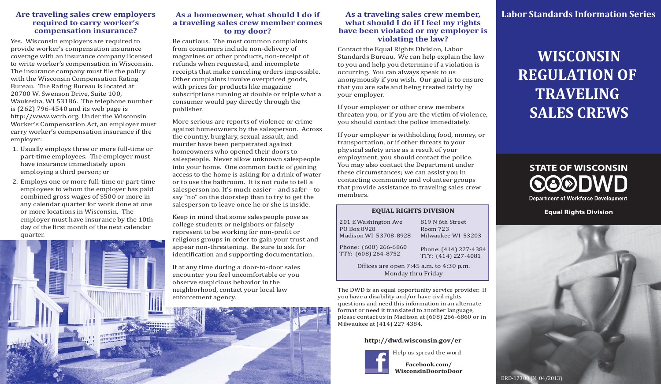### **Are traveling sales crew employers required to carry worker's compensation insurance?**

Yes. Wisconsin employers are required to provide worker's compensation insurance coverage with an insurance company licensed to write worker's compensation in Wisconsin. The insurance company must file the policy with the Wisconsin Compensation Rating Bureau. The Rating Bureau is located at 20700 W. Swenson Drive, Suite 100, Waukesha, WI 53186. The telephone number is (262) 796-4540 and its web page is http://www.wcrb.org. Under the Wisconsin Worker's Compensation Act, an employer must carry worker's compensation insurance if the employer:

- 1. Usually employs three or more full-time or part-time employees. The employer must have insurance immediately upon employing a third person; or
- Employs one or more full-time or part-time 2. employees to whom the employer has paid combined gross wages of \$500 or more in any calendar quarter for work done at one or more locations in Wisconsin. The employer must have insurance by the 10th day of the first month of the next calendar quarter.

# **As a homeowner, what should I do if a traveling sales crew member comes to my door?**

Be cautious. The most common complaints from consumers include non-delivery of magazines or other products, non-receipt of refunds when requested, and incomplete receipts that make canceling orders impossible. Other complaints involve overpriced goods, with prices for products like magazine subscriptions running at double or triple what a consumer would pay directly through the publisher.

More serious are reports of violence or crime against homeowners by the salesperson. Across the country, burglary, sexual assault, and murder have been perpetrated against homeowners who opened their doors to salespeople. Never allow unknown salespeople into your home. One common tactic of gaining access to the home is asking for a drink of water or to use the bathroom. It is not rude to tell a salesperson no. It's much easier – and safer – to say "no" on the doorstep than to try to get the salesperson to leave once he or she is inside.

Keep in mind that some salespeople pose as college students or neighbors or falsely represent to be working for non-profit or religious groups in order to gain your trust and appear non-threatening. Be sure to ask for identification and supporting documentation.

If at any time during a door-to-door sales encounter you feel uncomfortable or you observe suspicious behavior in the neighborhood, contact your local law enforcement agency.

### **As a traveling sales crew member, what should I do if I feel my rights have been violated or my employer is violating the law?**

Contact the Equal Rights Division, Labor Standards Bureau. We can help explain the law to you and help you determine if a violation is occurring. You can always speak to us anonymously if you wish. Our goal is to ensure that you are safe and being treated fairly by your employer.

If your employer or other crew members threaten you, or if you are the victim of violence, you should contact the police immediately.

If your employer is withholding food, money, or transportation, or if other threats to your physical safety arise as a result of your employment, you should contact the police. You may also contact the Department under these circumstances; we can assist you in contacting community and volunteer groups that provide assistance to traveling sales crew members.

#### **EQUAL RIGHTS DIVISION**

819 N 6th StreetRoom 723Milwaukee WI 53203201 E Washington Ave PO Box 8928 Madison WI 53708-8928 Phone: (608) 266-6860

Phone: (414) 227-4384 TTY: (414) 227-4081 TTY: (608) 264-8752

> Offices are open  $7:45$  a.m. to  $4:30$  p.m. Monday thru Friday

The DWD is an equal opportunity service provider. If you have a disability and/or have civil rights questions and need this information in an alternate format or need it translated to another language, please contact us in Madison at (608) 266-6860 or in Milwaukee at (414) 227 4384.

### **http://dwd.wisconsin.gov/er**



**Facebook.com/ WisconsinDoortoDoor**

# **Labor Standards Information Series**

# **WISCONSIN REGULATION OF TRAVELING SALES CREWS**

# **STATE OF WISCONSINQQ®DWD Department of Workforce Development**

**Equal Rights Division**